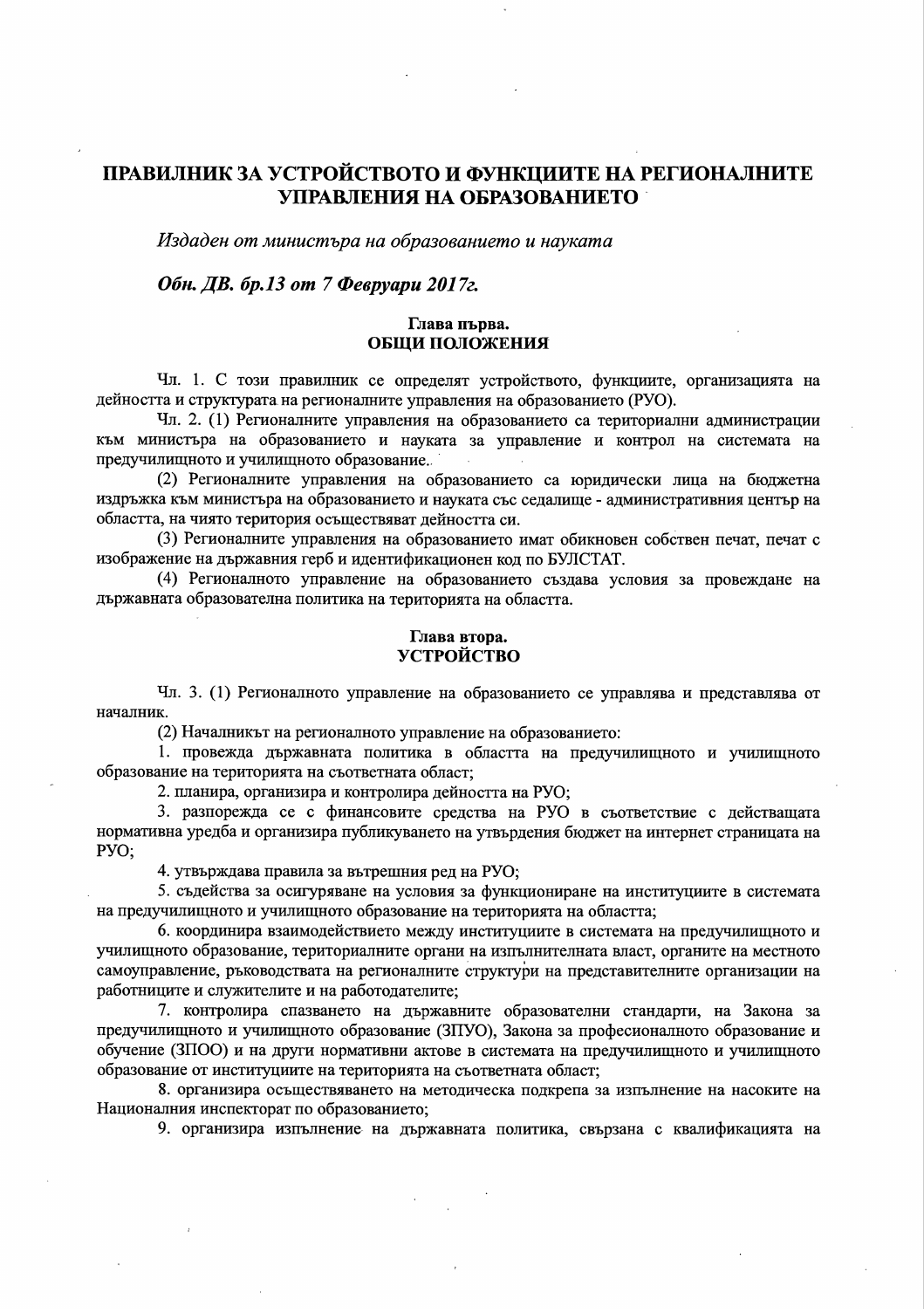# ПРАВИЛНИК ЗА УСТРОЙСТВОТО И ФУНКЦИИТЕ НА РЕГИОНАЛНИТЕ УПРАВЛЕНИЯ НА ОБРАЗОВАНИЕТО

Издаден от министъра на образованието и науката

## Обн. ДВ. бр.13 от 7 Февруари 2017г.

## Глава първа. ОБЩИ ПОЛОЖЕНИЯ

Чл. 1. С този правилник се определят устройството, функциите, организацията на дейността и структурата на регионалните управления на образованието (РУО).

Чл. 2. (1) Регионалните управления на образованието са териториални администрации към министъра на образованието и науката за управление и контрол на системата на предучилищното и училищното образование.

(2) Регионалните управления на образованието са юридически лица на бюджетна издръжка към министъра на образованието и науката със седалище - административния център на областта, на чиято територия осъществяват дейността си.

(3) Регионалните управления на образованието имат обикновен собствен печат, печат с изображение на държавния герб и идентификационен код по БУЛСТАТ.

(4) Регионалното управление на образованието създава условия за провеждане на държавната образователна политика на територията на областта.

### Глава втора. УСТРОЙСТВО

Чл. 3. (1) Регионалното управление на образованието се управлява и представлява от началник.

(2) Началникът на регионалното управление на образованието:

1. провежда държавната политика в областта на предучилищното и училищното образование на територията на съответната област;

2. планира, организира и контролира дейността на РУО;

3. разпорежда се с финансовите средства на РУО в съответствие с действащата нормативна уредба и организира публикуването на утвърдения бюджет на интернет страницата на PYO:

4. утвърждава правила за вътрешния ред на РУО;

5. съдейства за осигуряване на условия за функциониране на институциите в системата на предучилищното и училищното образование на територията на областта;

6. координира взаимодействието между институциите в системата на предучилищното и училищното образование, териториалните органи на изпълнителната власт, органите на местното самоуправление, ръководствата на регионалните структури на представителните организации на работниците и служителите и на работодателите;

7. контролира спазването на държавните образователни стандарти, на Закона за предучилищното и училищното образование (ЗПУО), Закона за професионалното образование и обучение (ЗПОО) и на други нормативни актове в системата на предучилищното и училищното образование от институциите на територията на съответната област;

8. организира осъществяването на методическа подкрепа за изпълнение на насоките на Националния инспекторат по образованието;

9. организира изпълнение на държавната политика, свързана с квалификацията на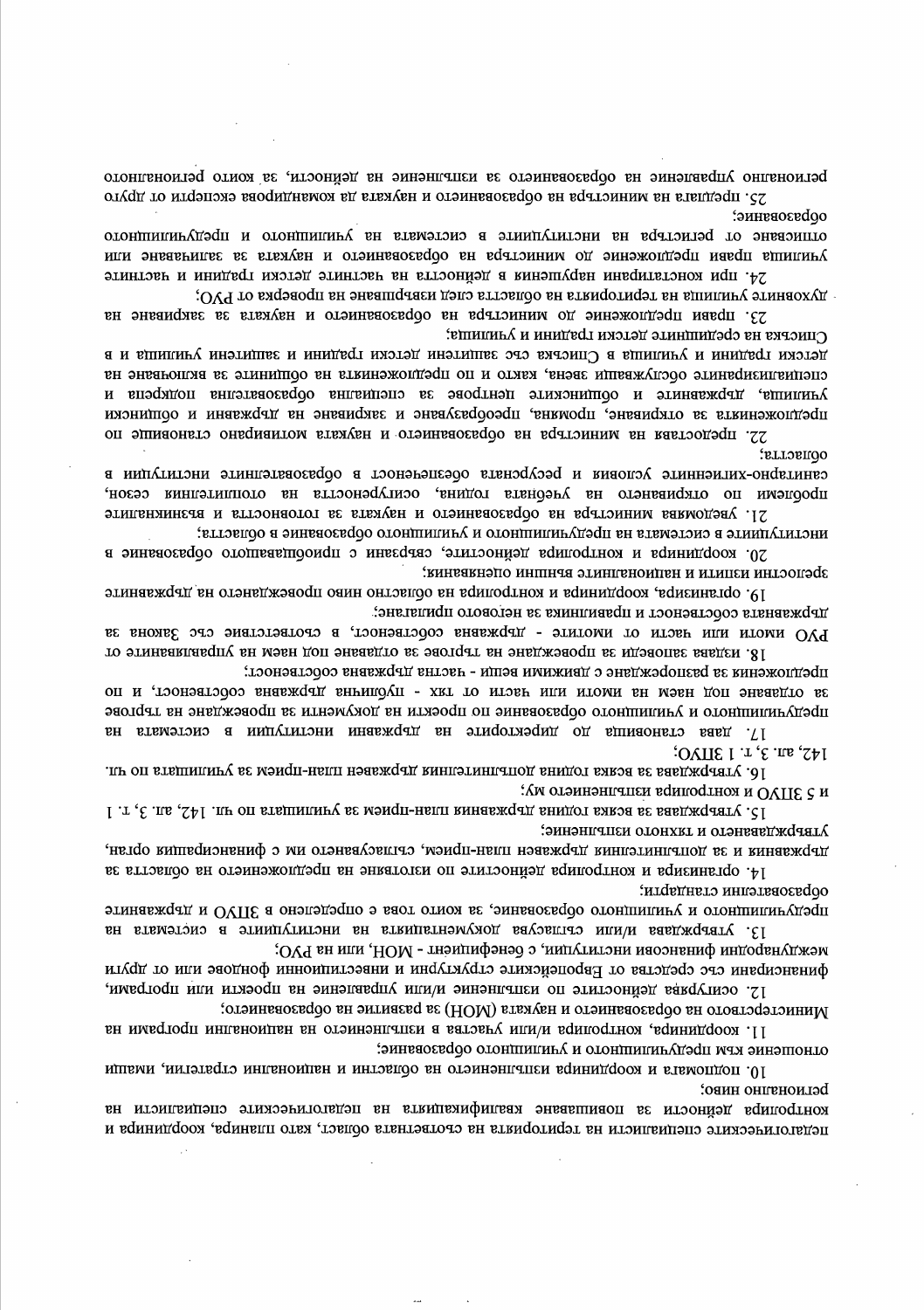утвърждаването и тяхното изпълнение; дыржавния и за допълнителния държавен план-прием, съпласуването им с финансиращия орган, 14. организира и контролира дейностите по изготвяне на предложението на областта за

ооразователни стандарти; предучилиште и училиште образование, за които това е определено в ЗПУО и държавните

13. утвърждава и/или съгласува документацията на институциите в системата на

международни финансови институции, с бенефициент - МОН, или на РУО; финансирани със средства от Европейските структурни и инвестиционни фондове или от други

12. осигурява дейностите по изпълнение и/или управление на проекти или програми,

Министерството на образованието и науката (МОН) за развитие на образованието;

11. координира, контролира и/или участва в изпълнението на национални програми на

одношение кри цреплилипноло и ландининоло орфязование:

10. подпомата и координира изпълнението на областни и национални стратегии, имащи регионално ниво:

контролира дейности за повишаване квалификацияла на педагогическите специалисти на педагогическите специалисти на територията на съответната област, като планира, координира и

училища прави предложение до министъра на образованието и науката за заличаване или 24. при конслятивани нарушения в дейността на частните детски градини и частните духовните училица на териморията на областта след навливане на проверка от РУО;

иетски градини и училица в Списъка със защитени детски градини и защитени училища и в специализиваните обслужващи звена, както и по предложенията на общините за включване на училища, държавните и общинските центрове за специална образователна подкрепа и предложенията за откриване, промяна, преобразуване и закриване на държавни и общински

сянитарно-хигиналис условия и ресурсната обезпеченост в образователните институции в проблеми по откриването на учебната година, осигуреността на отоплителния сезон,

РУО имоти или части от имотите - държавна собственост, в съответствие със Закона за

за опдаване под наем на моли или насли од джи - пледлиния дрежавна соослвеност, и по предучилищното и училищното образование по проекти на документи за провеждане на търгове

инслилуциите в системата на предучилишното и училищното образование в областта;

предлюжения за разпореждане с движиии вепи - изслиз държавна сооственост;

Списрка на средишните детски градини и училища;

зрелослни изимли и напионалните вгншни опенавяния:

друмавната собственост и правилника за неговото прилагане;

оопастта;

 $142$ , an. 3,  $r.13HVO$ ;

и 5 ЗПУО и контролира изпълнението му;

23. прави предложение до министъра на образованието и науката за закриване на

22. предостава на министъра на образованието и науката мотивирано становице по

21. уведомява министъра на образованието и науката за готовността и възникналите

20. координира и контролира дейностите, свързани с приобщаващого образование в

19. организмра, координира и контролира на областно ниво провеждането на държавните

18. Издава заповеди за провеждане на търгове за отдаване под нам на управляваните от

17. дава становища до директорите на държавни институции в системата на

16. утвърждава за всяка година допълнителния държавен план-прием за училищата по чл.

15. Утвърждава за всяка година държавния план-прием за училищата по чл. 142, ал. 3, т. 1

ооразование: отписване от регистра на институциите в системата на училищното и предучилищното

регионално управление на образованието за изпълнение на дейности, за които регионалното 25. предпата на министъра на образованието и науката да командирова експерти от друго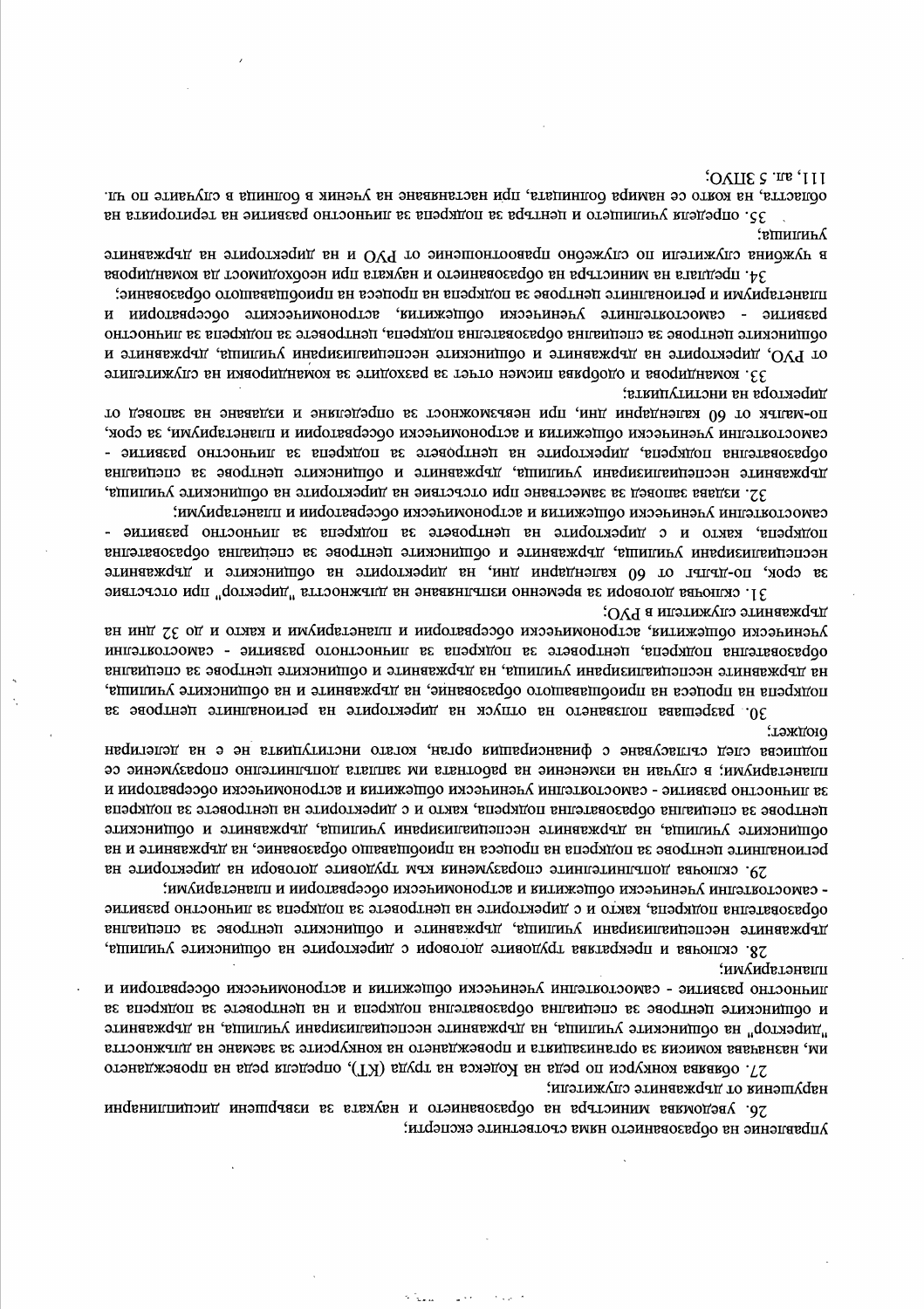26. уведомява министьра на образованието и науката за извършени дисциплинарни управление на образованието няма съответните експерти;

им, назначава комисия за организацията и провеждането на конкурсите за заемане на дльжността 27. обявява конкурси по реда на Кодекса на труда (КТ), определи реда на провеждането нарушения от държавните служители;

планетариуми; линнослио развилие - сямослоятелни ученически общежилия и астрономически обсервятории и и общинските центрове за специална образователна подкрепа и на центровете за подкрепа за "директор" на общинските училища, на държавните неспециализирани училища, на държавните

- сямослояделяны Аленинсски ооптехндия и ясдорономиково органоватории и плянедых миниками. образователна подкрепа, както и с директорите на центровете за подкрепа за личностно развитие държавните неспециализирани училища, държавните и общинските центрове за специална 28. сключва и прекратава трудовите договори с директорите на общинските училица,

лэждою. подписва след съгласуване с финансиращия орган, когато институцията не е на делегиран планетариуми; в случаи на изменение на работната им заплата допълнително споразумение се за линнослио развитие - самостоятелни ученически общежития и астрономически обсерватории и центрове за специална образователна подкрепа, както и с директорите на центровете за подкрепа общинскиде училица, на държавните неспециализирани училища, държавните и общинските регионалните центрове за подкрепа на процеса на приобщаващо образование, на държавните и на 29. сключва допълнителните споразумения към трудовите договори на директорите на

държавнице сплжицели в БЛО; ученияся облизования, астрономически обсерватории и планетариуми и както и до 32 дни на образователна подкрепа, центровете за подкрепа за личностното развитие - самостоятелни на държавните неспециализирани училища, на държавните и общинските центрове за специална подкрепа на процеса на приофиаващого образование, на държавните и на общинските училища, 30. разрешава ползването на отпуск на директорите на регионалните центрове за

32. издава заповед за заместване при отсъствие на директорите на общинските училица, сямослонды и инфользования и велючили подавления однобления и планедых и инфоль подкрепа, както и с директорите на центровете за подкрепа за личностно развитие неспециялизирани училища, държавните и общинските центрове за специялна образователна за срок, по-дълът от 60 календарни дни, на директорите на общинските и държавните 31. сключва договори за временно изпълняване на для посторите "директор" при отсъствие

директора на институцията; по-мальк ог 60 календарни дни, при невъзможност за определяне и издаване на заповед ог сямослоилелни ласнински ооптежилии и зслоономинески оосервалории и планелярилими<sup>,</sup> за срок, обрязовятелна подкрепа, директорите на центровете за подкрепа за личностно развитие дрежавните неспециализирани училища, държавните и общинските центрове за специална

34. предлага на министъра на образованието и науката при необходимост да командирова планетариуми и регионалните центрове за подкрепа на процеса на приобщаващото образование; развитие - самостоятелните ученически общежития, астрономическите обсерватории и общинските центрове за специална образователна подкрепа, центровете за подкрепа за личностно от РУО, директорите на държавните и общинските неспециализирани училища, държавните и 33. КОМАНДИРОВА И ОДОбрява писмон на разходите за размандировки на служителите

;вшипину; этинавждад вн этифотлэдид вн и ОУЧ то эмнэшонтоовадп ондэжүдлэ оп ицэтижүдлэ вниджүн а

 $111$ , an. 5  $3HVO;$ областта, на която се намира болницата, при настанаване на ученик в болница в случаите по чл. я 35. определения училището и центъра за подкрепа за личностно развитие на територията на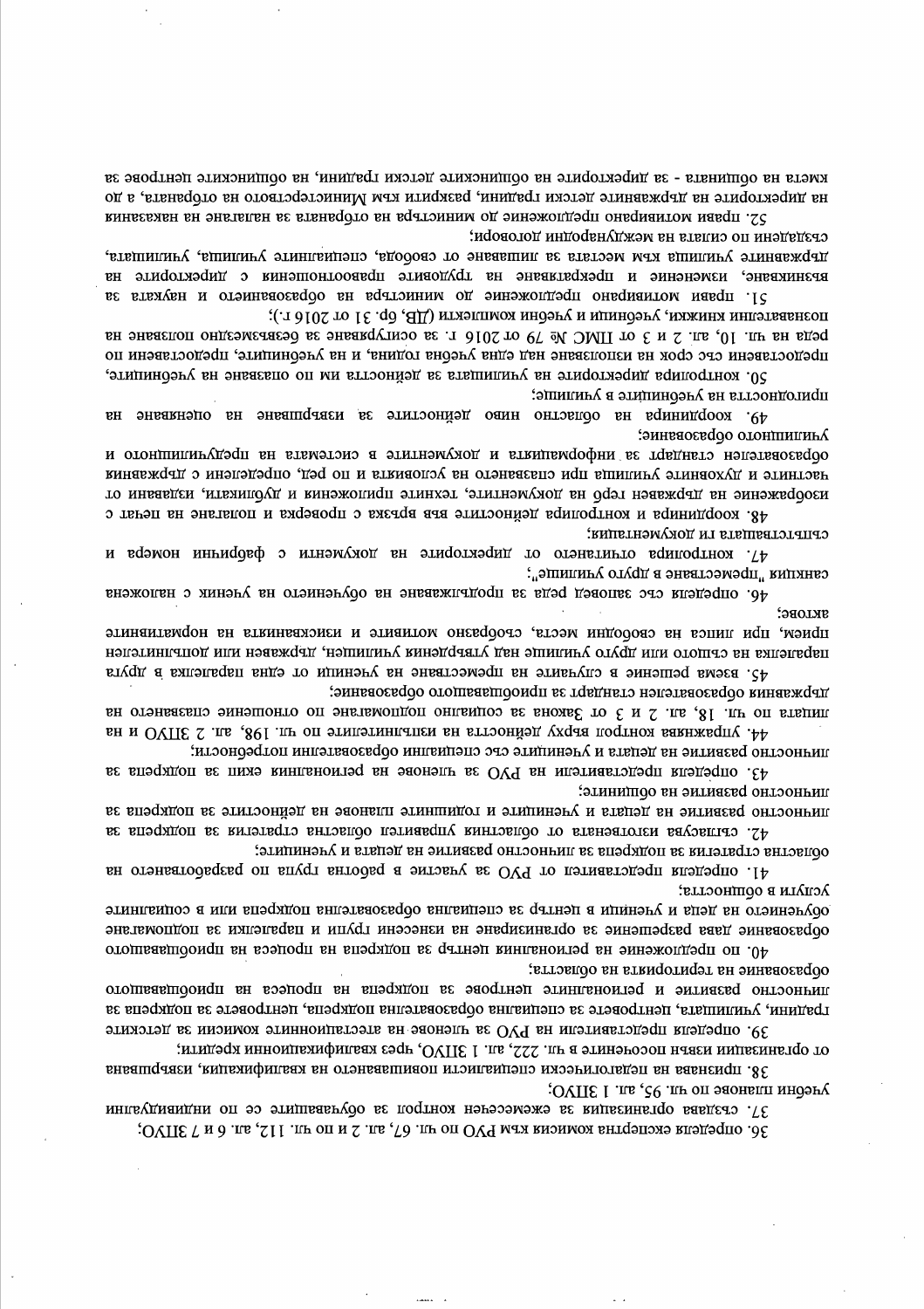37. създава организация за ежемесечен контрол за обучаващите се по индивидуални 36. определя експертна комисия към РУО по чл. 67, ал. 2 и по чл. 112, ал. 6 и 7 ЗПУО;

от организации извън посочените в чл. 222, ал. 1 ЗПУО, чрез квалификационни кредити; 38. признава на педагогически специалисти повишаването на квалификация, извършвана учебни планове по чл. 95, ал. 1 ЗПУО;

градини, училищата, центровете за специална образователна подкрепа, центровете за подкрепа за 39. определя представители на РУО за членове на атестационните комисии за детските

40. по предпожение на регионалния център за подкрепа на процеса на приофидаващото соразование на територията на областта; личностно развитие и регионалните центрове за подкрепа на процеса на приобщаващото

лсили в оопността; обучението на деца и ученици в център за специална образователна подкрепа или в социалните орразование дава разрешение за организиране на изнесени групи и паралелки за подпомагане

областна стратегия за подкрепа за личностно развитие на децата и учениците; 41. определя представител от РУО за участие в работна група по разработването на

линипостно развитие на общините; личностию развитие на децага и учениците и годиншите планове на дейностите за подкрепа за 42. сыласува изготвената от областния управител областна стратетия за подкрепа за

линиостно развитие на децата и учениците със специални образователни потребности; 43. определя представители на РУО за членове на регионалния екип за поддерела за

державния образователен стандарт за приобщаващото образование; лицата по чл. 18, ал. 2 и 3 от Закона за социално подпомагане по отношение спазването на ян и ОVIIE 2 лы ,891 ли оп этипэтингатеи вн втгоонйэд ухаав поотном вавнжвалу. А

SKLOBG: прием, при вы свободини места, съобразно мотивит и изискванията на нормативните паралелка на същото или друго училище над утвърдения училищен, държавен или допълнителен 45. взема решение в случаите на преместване на ученици от една паралелка в друга

сянкими "преместване в друго училише"; 46. определя със заповед реда за продължаване на обучението на ученик с наложена

съпътстващата ги документация; 47. контролира отначето от директорите на документи с фабрични номера и

образователен стандарт за информацията и документите в системата на предучилицното и частните и духовните училища при спазването на условията и по ред, определени с държавния то мнвавден на държавен герб на документите, техните приложения и дубликати, издавани от 48. Координира и контролира дейностите във връзка с проверка и полагане на печат с

пригодността на учебниците в училище; 49. координира на областно ниво дейностите за извершване на оценяване на эингаосе до одонилина?

реда на чл. 10, ал. 2 и 3 от ПМС № 79 от 2016 г. за осигуряване за безвъзмездно ползване на предоставени със срок на използване над една учебна година, и на учебниците, предоставени по 50. контролира директорите на училищата за дейността им по опазване на учебниците,

държавните училища към местата за лишаване от свобода, специалните училища, училищата, възникване, изменение и прекратаване на трудовите правоопношения с директорите на 51. прави мотивирано предложение до миникствра на образованието и науката за познавателни книжки, учебници и учебни комплекти (ДВ, бр. 31 от 2016 г.);

на директорите на държавните детски градини, разкрити към Министерството на отбраната, а до 52. прави мотивирано предложение до министъра на отбраната за налагане на наказания създадени по силата на международни договори;

киета на общината - за директорите на общинските детски градини, на общинските центрове за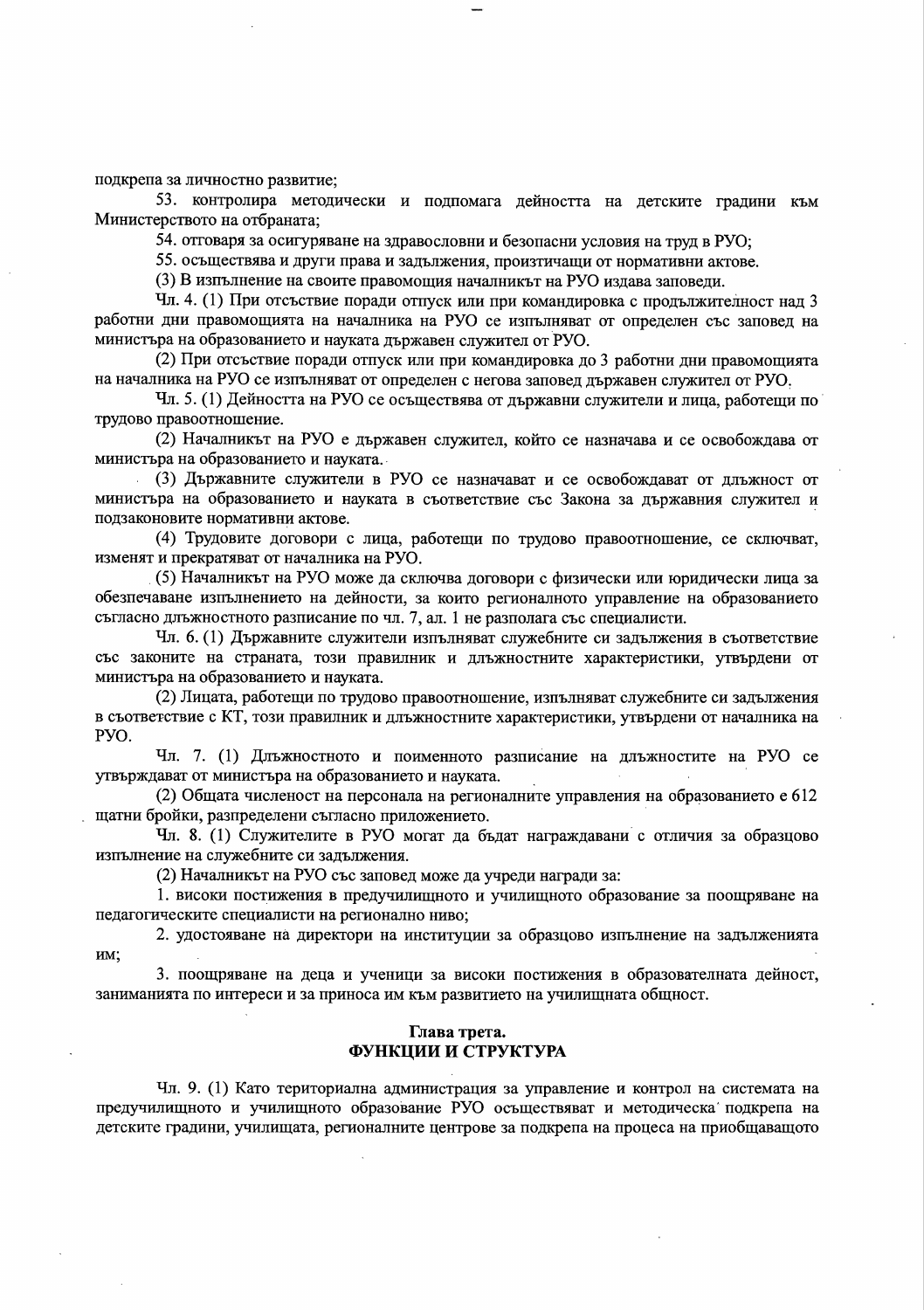подкрепа за личностно развитие;

53. контролира методически и подпомага дейността на детските градини към Министерството на отбраната;

54. отговаря за осигуряване на здравословни и безопасни условия на труд в РУО;

55. осъществява и други права и задължения, произтичащи от нормативни актове.

(3) В изпълнение на своите правомощия началникът на РУО издава заповеди.

Чл. 4. (1) При отсъствие поради отпуск или при командировка с продължителност над 3 работни дни правомощията на началника на РУО се изпълняват от определен със заповед на министъра на образованието и науката държавен служител от РУО.

(2) При отсъствие поради отпуск или при командировка до 3 работни дни правомощията на началника на РУО се изпълняват от определен с негова заповед държавен служител от РУО.

Чл. 5. (1) Дейността на РУО се осъществява от държавни служители и лица, работещи по трудово правоотношение.

(2) Началникът на РУО е държавен служител, който се назначава и се освобождава от министъра на образованието и науката.

(3) Държавните служители в РУО се назначават и се освобождават от длъжност от министъра на образованието и науката в съответствие със Закона за държавния служител и подзаконовите нормативни актове.

(4) Трудовите договори с лица, работещи по трудово правоотношение, се сключват, изменят и прекратяват от началника на РУО.

(5) Началникът на РУО може да сключва договори с физически или юридически лица за обезпечаване изпълнението на дейности, за които регионалното управление на образованието съгласно длъжностното разписание по чл. 7, ал. 1 не разполага със специалисти.

Чл. 6. (1) Държавните служители изпълняват служебните си задължения в съответствие със законите на страната, този правилник и длъжностните характеристики, утвърдени от министъра на образованието и науката.

(2) Лицата, работещи по трудово правоотношение, изпълняват служебните си задължения в съответствие с КТ, този правилник и длъжностните характеристики, утвърдени от началника на PYO.

Чл. 7. (1) Длъжностното и поименното разписание на длъжностите на РУО се утвърждават от министъра на образованието и науката.

(2) Общата численост на персонала на регионалните управления на образованието е 612 щатни бройки, разпределени съгласно приложението.

Чл. 8. (1) Служителите в РУО могат да бъдат награждавани с отличия за образцово изпълнение на служебните си задължения.

(2) Началникът на РУО със заповед може да учреди награди за:

1. високи постижения в предучилищното и училищното образование за поощряване на педагогическите специалисти на регионално ниво;

2. удостояване на директори на институции за образцово изпълнение на задълженията им;

3. поощряване на деца и ученици за високи постижения в образователната дейност, заниманията по интереси и за приноса им към развитието на училищната общност.

## Глава трета. ФУНКЦИИ И СТРУКТУРА

Чл. 9. (1) Като териториална администрация за управление и контрол на системата на предучилищното и училищното образование РУО осъществяват и методическа подкрепа на детските градини, училищата, регионалните центрове за подкрепа на процеса на приобщаващото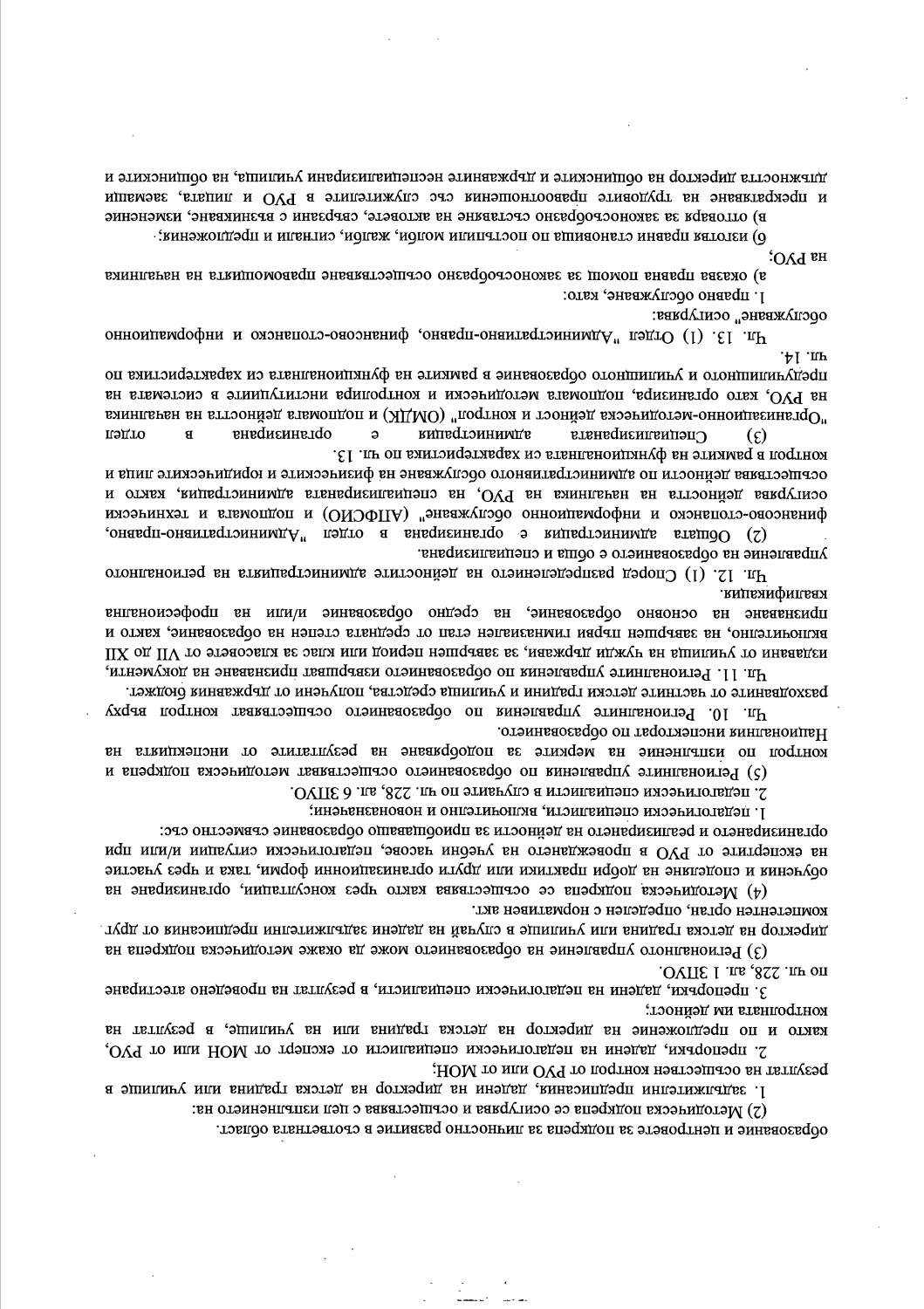длежността директор на общинските и държавните неспециализирани училища, на общинските и и прекратяване на трудовите правоотношения със служителите в РУО и лицата, заемащи

в) оцловаря за законостооразно стславане на акловеле, сверзани с вгзникване, изменение

о) изготлая правни становища по постыпили молов, жалби, сигнали и предложения;

ня ЬЛО:

а) оказва правна помощ за законосьобразно осыцестваване правомощията на началника 1. правно обслужване, като:

обслужване" осигурява:

чи 13. (1) Отдел "Административно-правно, финансово-стопанско и информационно  $\cdot \uparrow$   $\downarrow$   $\downarrow$ 

предучилищного и училишного образование в рамките на функционалната ки характеристика по на РУО, като организира, подпомага методически и контролира институциите в системата на "Организационно-методическа дейност и контрол" (ОМДК) и подпомага дейността на началника внадиємнатор **администрация** пэдто  $\mathbf{a}$ Специализираната  $\mathbf{g}$  $(\epsilon)$ 

контрол в рамките на функционалната си характеристика по чл. 13. осеществява дейности по административното обслужване на физическите и юридическите лица и осигурява дейността на началника на РУО, на специализираната администрация, както и финянсово-слопянски и формационно обслужване" (АПФСИО) и подпомага и технически

онаверовата здиними с организирана в отдел "Административно-правно, управление на образованието е обща и специализирана.

Чл. 12. (1) Според разпределението на дейностите администрацията на регионалното квалификация.

признаване на основно образование, на средно образование и/или на професионална включително, на завършен първи гимназиален етап от средната степен на образование, както и ИЗДВВЯНИ ОТ УЧИЛИЦА НА ИЈЖАЈИ ДЪРЖАВИ, ЗА ЗАВЪРШЕН ПЕФИОД ИЛИ КЛАС ЗЕ КЛАСОВЕТЕ ТО XII ПА ХII

Чл. 11. Регионалните управления по образованието извършват признаване на документи, разходваните от частните детски градини и училица средства, получени от държавния бюджет.

Чл. 10. Регионалните управления по образованието осъществяват контрол върху Националния инспекторат по образованието. контрол по изпълнение на мерките за подобраване на резулгатите от инспекциита на

(5) Регионалните управления по образованието осъществяват методическа подкрепа и

2. педагогически специалисти в случаите по чл. 228, ал. 6 ЗПУО.

]. педагогически специалисти, включително и новоназначени;

организирането и реализирането на дейности за приобщаващо образование съвместно със:

на експертите от РУО в провеждането на учебни часове, педагогически ситуации ими при

эитэвгү споделяна на добри практики или други организационни форми, така и чрез участие  $(4)$  Методическа подкрепа се осъществява както чрез консултации, организиране на компетентен орган, определен с нормативен акт.

дүрсктор на детска грамна или училише в случай на дадени задължителни предплезний от друг. (3) Регионалното управление на образованието може да окаже методическа подкрепа на

IOVITE 1 .ILB, 812. ILBO.

3. препоръки, дадени на педагогически специалисти, в резултат на проведено атестиране концолнята им дейност;

както и по предложение на директор на детска градина или на училицие, в резултат на 2. препоръки, дадени на педагогически специалисти от експерт от МОН или от РУО,

резултат на осъществен контрол от РУО или от МОН; 1. задължителни предписания, дадени на директор на детска градина или училище в

(2) Методическа подкрепа се осигурява и осъществява с цел изпълнението на:

образование и центровете за подкрепа за личностно развитие в съответната област.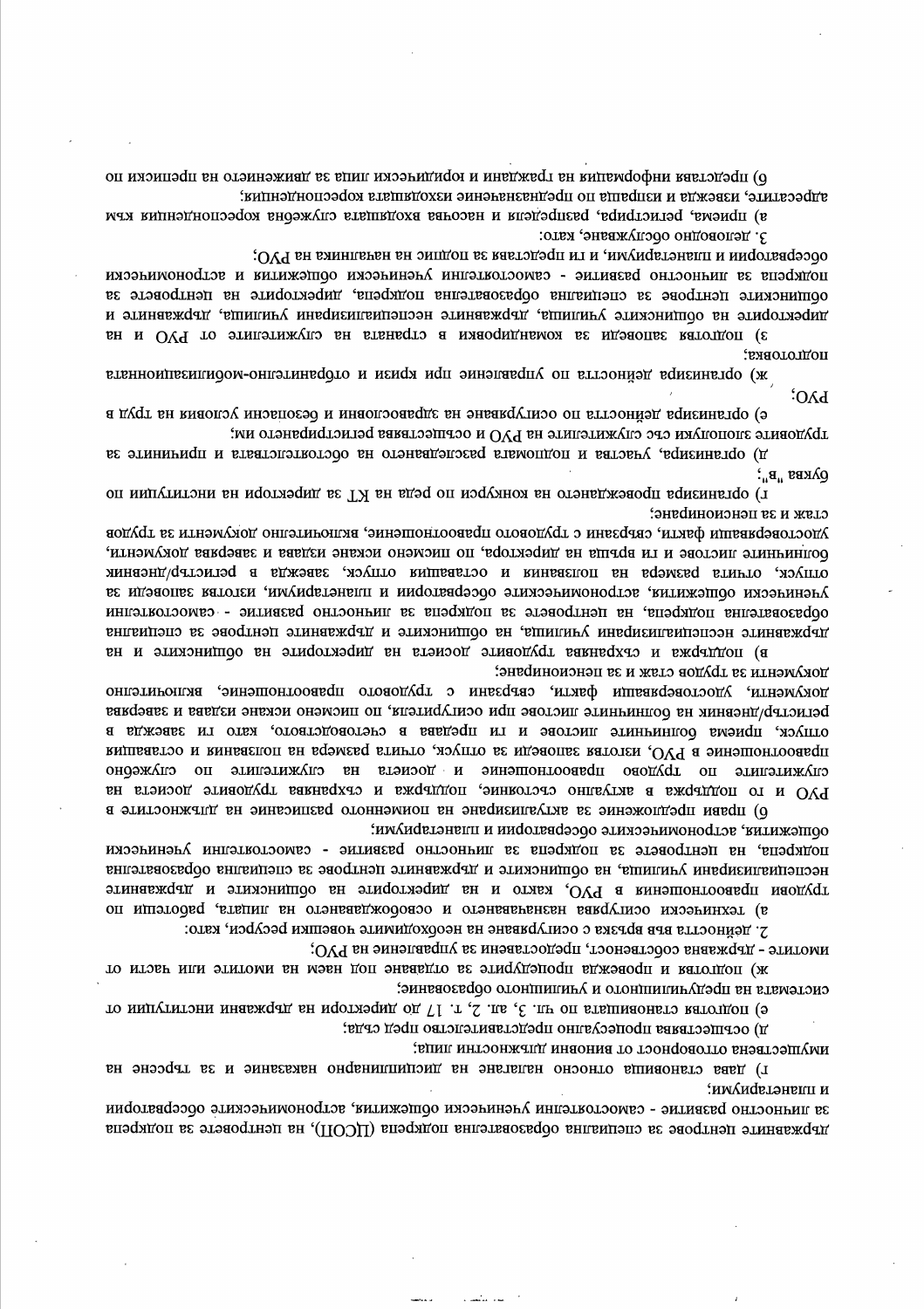оп ирелелява информапиа на граждани и юридикаски липа за давижениело на преписки по адресатите, извежда и изпраща по предназначение изходишата кореспонденция;

з) приема, регистрира, разпределя и насочва входящата служебна кореспонденция към

трудените злополуки със служителите на РУО и осъществава регистрирането им;

обсерватории и планетариуми, и ти представя за подпис на началника на РУО; подкрепа за личностно развитие - самостоятелни ученически общежития и астрономически общинските центрове за специална образователна подкрепа, директорите на центровете за директорите на общинските училища, държавните неспециализирани училища, държавните и вн и ОУЧ то этипэтижупо вн втвнвето а мяаосиднымоя ве идэаопве ватотдоп (ε

е) организира дейности по осигуряване на здравословни и безопасни условия на труд в

д) организира, участва и подпомага разследването на обстоятелствата и причините за

г) оп импутитони внидотления на конкурси по реда на Гуд в директори на институции по

удостоверяващи факти, свързани с трудовото правоотношение, включително документи за трудов болининте листове и ти връща на директора, по писмено искане издава и заверява документи,

3. деловодно обслужване, като:

подготовка; ж) организира дейността по управление при кризи и отбранително-мобилизационната

стаж и за пенсиониране;

PVO;

 $\mathbf{Q}\mathbf{A}\mathbf{E}$ ы ви $\mathbf{B}$ 

отпуск, отчита размера на ползвания и оставащия отпуск, завежда в регистьр/дневник ученически общежития, астрономическите обсерватории и планетариуми, изготея заповеди за

образователна подкрепа, на центровете за подкрепа за личностно развитие - самостоятелни державните неспециализация училища, на общинските и държавните центрове за специална в) поддержа и съхранява труовилс досиста на диреклорите на ординските и на

документи за трудов стаж и за пенсиониране; документи, удостоверяващи факти, свързани с трудовото правоотношение, включително регистър/дневник на болничните листове при осигурителя, по писмено искане издава и заверява отпуск, приема болничните листове и ги предава в счетоводството, като ги завежда в правоотношение в РУО, изготвя заповеди за отпуск, отчита размера на ползвания и оставащия служителите по трудово правоотношение и досиета на служителите по онджерно РУО и го поддържа в актуално състояние, поддържа и съхранива трудовите досиета на

б) прави предпожение за актуализиране на поименното разписание на длежностите в ооптежиция<sup>, астрономическите обсерватории и планетариуми;</sup> подкрепа, на центровете за подкрепа за личностно развитие - самостоятелни ученически неспециализмрани училища, на общинските и държавните центрове за специална образователна трудови правоотношения в РУО, както и на директорите на общинските и државните

а) технически осигурява назначаването и освобождаването на лицата, работеши по 2. дейността във връзка с осигуряване на необходимите човешки ресурси, като:

имогите - държавна собственост, предоставени за управление на РУО;

то итовь или этитоми вн мэвн допетарито в этидудэно пли выходи и васти от системата на предучилищното и училищното образование;

е) подготим низвишата по чи. 3, ал. 2, т. 17 до директори на държавни институции от

и) осрпієськив пропеслячно представителетво пред сруз:

иидитествена отговорност от виновни длъжностни лица;

г) дава становища относно налагане на дисциплинарно наказание и за търсене на и планетариуми;

за личностно развитие - самостоятелни ученически общежития, астрономическите обсерватории динать с это не телетичество в телемини подкрепа (ЦСОП), на центровете за подкрепа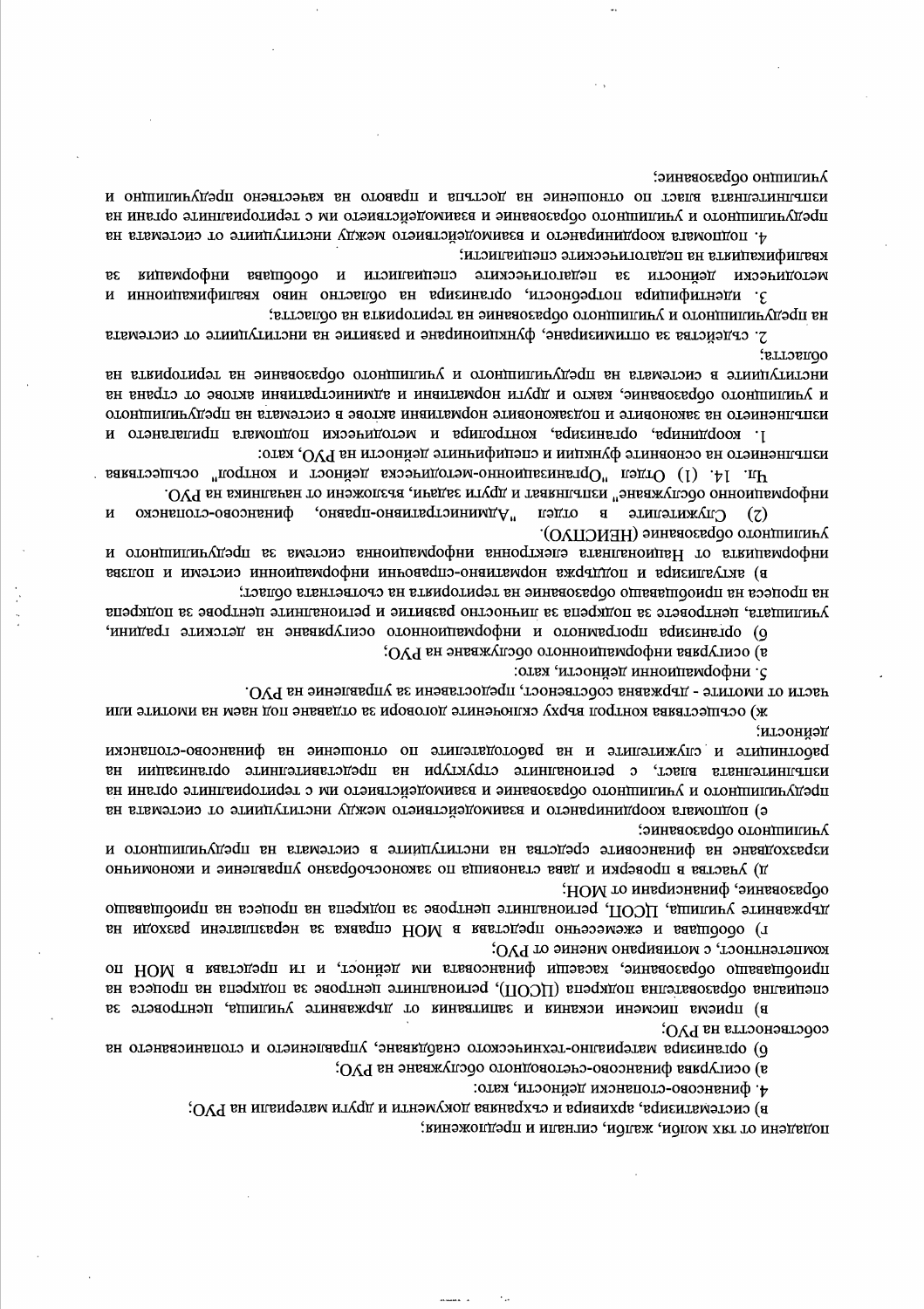подадени от тях молби, жалби, сигнали и предложения;

4. финансово-слопански дейности, като: в) систематизира, архивира и съхранява документи и други материали на РУО;

а) осигурява финансово-счетоводного обслужване на РУО;

организмы материално-техническото снабдаване, управлението и стопанисването на

специална образователна подкрепа (ЦСОП), регионалните центрове за подкрепа на процеса на в) приема писмени искания и запитвания от държавните училища, центровете за собствеността на РУО;

г) обобщава и ежемесечно представа в МОН справка за неразплатени разходи на компетентност, с мотивирано мнение от РУО; приобцаващо образование, касаещи финансовата им дейност, и и представа в МОН по

образование, финансирани от МОН; державните училища, ЦСОП, регионалните центрове за подкрепа на процеса на приобщаващо

училищного образование; изразходване на финансовите средства на институциите в системата на предучилициото и д) участва в проверки и дава становища по законосрофовано управление и икономинно

лециости; работниците и служителите и на работодателите по отношение на финансово-стопански изпълнителната власт, с регионалните структури на представителните организации на предлагительного и училишного образование и взяимодельство и и сериториалните органи на е) подпомага координирането и взаимодействието между институциите от системата на

части от имотите - държавна собственост, предоставени за управление на РУО. ж) осъществява контрол върху сключените договори за отдаване под наем на имотите или

5. информационни дейности, като:

з) осигурява информационного обслужване на РУО;

на процеса на приобщаващо образование на територията на съответната област; училищата, центровете за подкрепа за личностно развитие и регионалните центрове за подкрепа 6) организира програмното и информационното осигураване на детските градини,

училищного образование (НЕИСПУО). информацията от Националната слектронна информационна система за предучилишното и вяеноп и ниэтомэ инноидивмофни инговедно-онантамфон вждатдоп и вдиение утав

 $\Pi$ . 14. (1) Отдел "Организационно-методическа дейност и контрол" осъществява информационно обслужване" изпълняват и други задачи, възложени от началника на РУО. (2) Служителите в отдел мудинистративно-правно, финансово-стопанско И

1. координира, организира, контролира и методически подпомага прилагането и изцението на основните функции и специфинните дейности на РУО, като:

оопастта; вн страного в этношно в предлагатель и училищного образование на теризориата на и училишного образование, както и други нормативни и административни актове от страна на изпълнения на законовите и подзаконовите нормативни актове в системата на предучилищите по

на предучилищното и училищното образование на територията на областта; 2. съдейства за оптимизиране, функциониране и развитие на институциите от системата

квалификацията на педагогическите специалисти; методически дейности за педагогнизските специалисти и обобщава информация 3. идентифицира потребности, организира на областно ниво квалификационни и

эинтино оразование: изпълнителните власт по отношение на достъпа и правого на качествено предучилищно и предуающитися и училиштися образование и эмиюдействието им с териториалните органи на 4. подпомага координирането и взаимодействието между институциите от системата на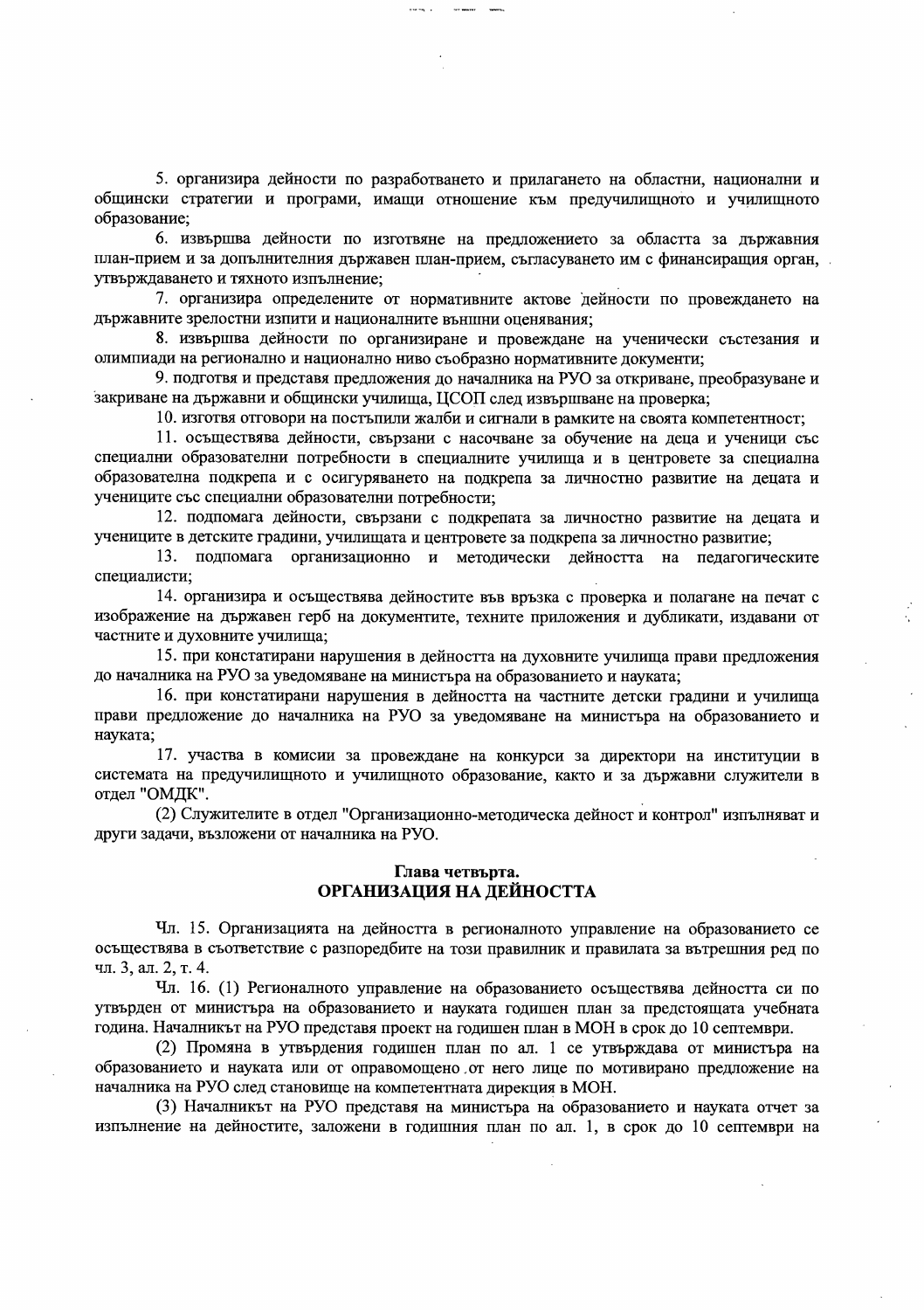5. организира дейности по разработването и прилагането на областни, национални и общински стратегии и програми, имащи отношение към предучилищното и училищното образование;

6. извършва дейности по изготвяне на предложението за областта за държавния план-прием и за допълнителния държавен план-прием, съгласуването им с финансиращия орган, утвърждаването и тяхното изпълнение;

7. организира определените от нормативните актове дейности по провеждането на държавните зрелостни изпити и националните външни оценявания;

8. извършва дейности по организиране и провеждане на ученически състезания и олимпиади на регионално и национално ниво съобразно нормативните документи;

9. подготвя и представя предложения до началника на РУО за откриване, преобразуване и закриване на държавни и общински училища, ЦСОП след извършване на проверка;

10. изготвя отговори на постыпили жалби и сигнали в рамките на своята компетентност;

11. осъществява дейности, свързани с насочване за обучение на деца и ученици със специални образователни потребности в специалните училища и в центровете за специална образователна подкрепа и с осигуряването на подкрепа за личностно развитие на децата и учениците със специални образователни потребности;

12. подпомага дейности, свързани с подкрепата за личностно развитие на децата и учениците в детските градини, училищата и центровете за подкрепа за личностно развитие;

13. подпомага организационно и методически дейността на педагогическите специалисти;

14. организира и осъществява дейностите във връзка с проверка и полагане на печат с изображение на държавен герб на документите, техните приложения и дубликати, издавани от частните и духовните училища;

15. при констатирани нарушения в дейността на духовните училища прави предложения до началника на РУО за уведомяване на министъра на образованието и науката;

16. при констатирани нарушения в дейността на частните детски градини и училища прави предложение до началника на РУО за увеломяване на министьра на образованието и науката:

17. участва в комисии за провеждане на конкурси за директори на институции в системата на предучилищното и училищното образование, както и за държавни служители в отдел "ОМДК".

(2) Служителите в отдел "Организационно-методическа дейност и контрол" изпълняват и други задачи, възложени от началника на РУО.

## Глава четвърта. ОРГАНИЗАЦИЯ НА ДЕЙНОСТТА

Чл. 15. Организацията на дейността в регионалното управление на образованието се осъществява в съответствие с разпоредбите на този правилник и правилата за вътрешния ред по чл. 3, ал. 2, т. 4.

Чл. 16. (1) Регионалното управление на образованието осъществява дейността си по утвърден от министъра на образованието и науката годишен план за предстоящата учебната година. Началникът на РУО представя проект на годишен план в МОН в срок до 10 септември.

(2) Промяна в утвърдения годишен план по ал. 1 се утвърждава от министъра на образованието и науката или от оправомощено от него лице по мотивирано предложение на началника на РУО след становище на компетентната дирекция в МОН.

(3) Началникът на РУО представя на министъра на образованието и науката отчет за изпълнение на дейностите, заложени в годишния план по ал. 1, в срок до 10 септември на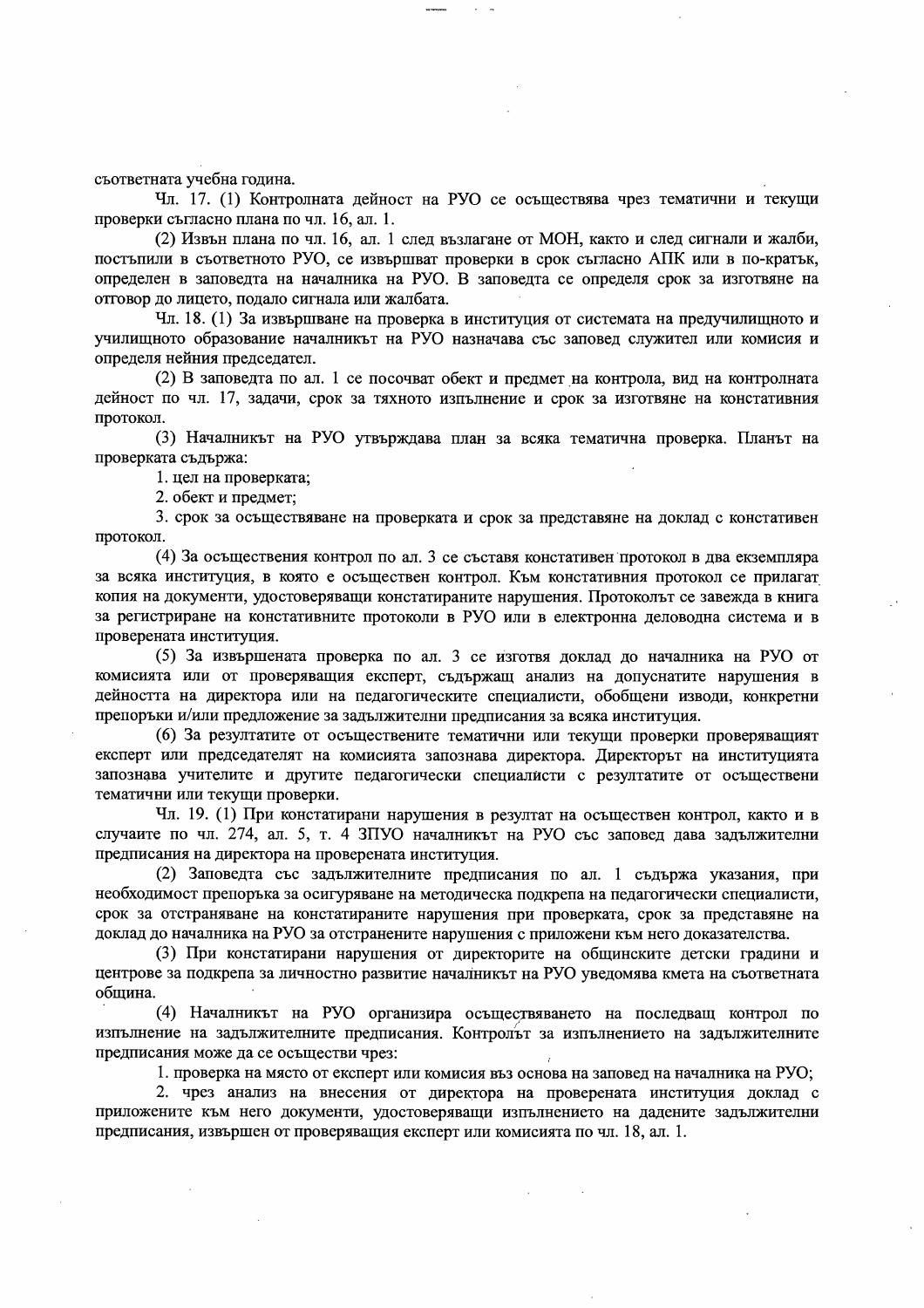съответната учебна година.

Чл. 17. (1) Контролната дейност на РУО се осъществява чрез тематични и текущи проверки съгласно плана по чл. 16, ал. 1.

(2) Извън плана по чл. 16, ал. 1 след възлагане от МОН, както и след сигнали и жалби, постынили в съответното РУО, се извършват проверки в срок съгласно АПК или в по-кратък, определен в заповедта на началника на РУО. В заповедта се определя срок за изготвяне на отговор до лицето, подало сигнала или жалбата.

Чл. 18. (1) За извършване на проверка в институция от системата на предучилищното и училищното образование началникът на РУО назначава със заповед служител или комисия и определя нейния председател.

(2) В заповедта по ал. 1 се посочват обект и предмет на контрола, вид на контролната дейност по чл. 17, задачи, срок за тяхното изпълнение и срок за изготвяне на констативния протокол.

(3) Началникът на РУО утвърждава план за всяка тематична проверка. Планът на проверката съдържа:

1. цел на проверката;

2. обект и предмет;

3. срок за осъществяване на проверката и срок за представяне на доклад с констативен протокол.

(4) За осъществения контрол по ал. 3 се съставя констативен протокол в два екземпляра за всяка институция, в която е осъществен контрол. Към констативния протокол се прилагат копия на документи, удостоверяващи констатираните нарушения. Протоколът се завежда в книга за регистриране на констативните протоколи в РУО или в електронна деловодна система и в проверената институция.

(5) За извършената проверка по ал. 3 се изготвя доклад до началника на РУО от комисията или от проверяващия експерт, съдържащ анализ на допуснатите нарушения в дейността на директора или на педагогическите специалисти, обобщени изводи, конкретни препоръки и/или предложение за задължителни предписания за всяка институция.

(6) За резултатите от осъществените тематични или текущи проверки проверяващият експерт или председателят на комисията запознава директора. Директорът на институцията запознава учителите и другите педагогически специалисти с резултатите от осъществени тематични или текущи проверки.

Чл. 19. (1) При констатирани нарушения в резултат на осъществен контрол, както и в случаите по чл. 274, ал. 5, т. 4 ЗПУО началникът на РУО със заповед дава задължителни предписания на директора на проверената институция.

(2) Заповедта със задължителните предписания по ал. 1 съдържа указания, при необходимост препоръка за осигуряване на методическа подкрепа на педагогически специалисти, срок за отстраняване на констатираните нарушения при проверката, срок за представяне на доклад до началника на РУО за отстранените нарушения с приложени към него доказателства.

(3) При констатирани нарушения от директорите на общинските детски градини и центрове за подкрепа за личностно развитие началникът на РУО уведомява кмета на съответната община.

(4) Началникът на РУО организира осъществяването на последващ контрол по изпълнение на задължителните предписания. Контролът за изпълнението на задължителните предписания може да се осъществи чрез:

1. проверка на място от експерт или комисия въз основа на заповед на началника на РУО;

2. чрез анализ на внесения от директора на проверената институция доклад с приложените към него документи, удостоверяващи изпълнението на дадените задължителни предписания, извършен от проверяващия експерт или комисията по чл. 18, ал. 1.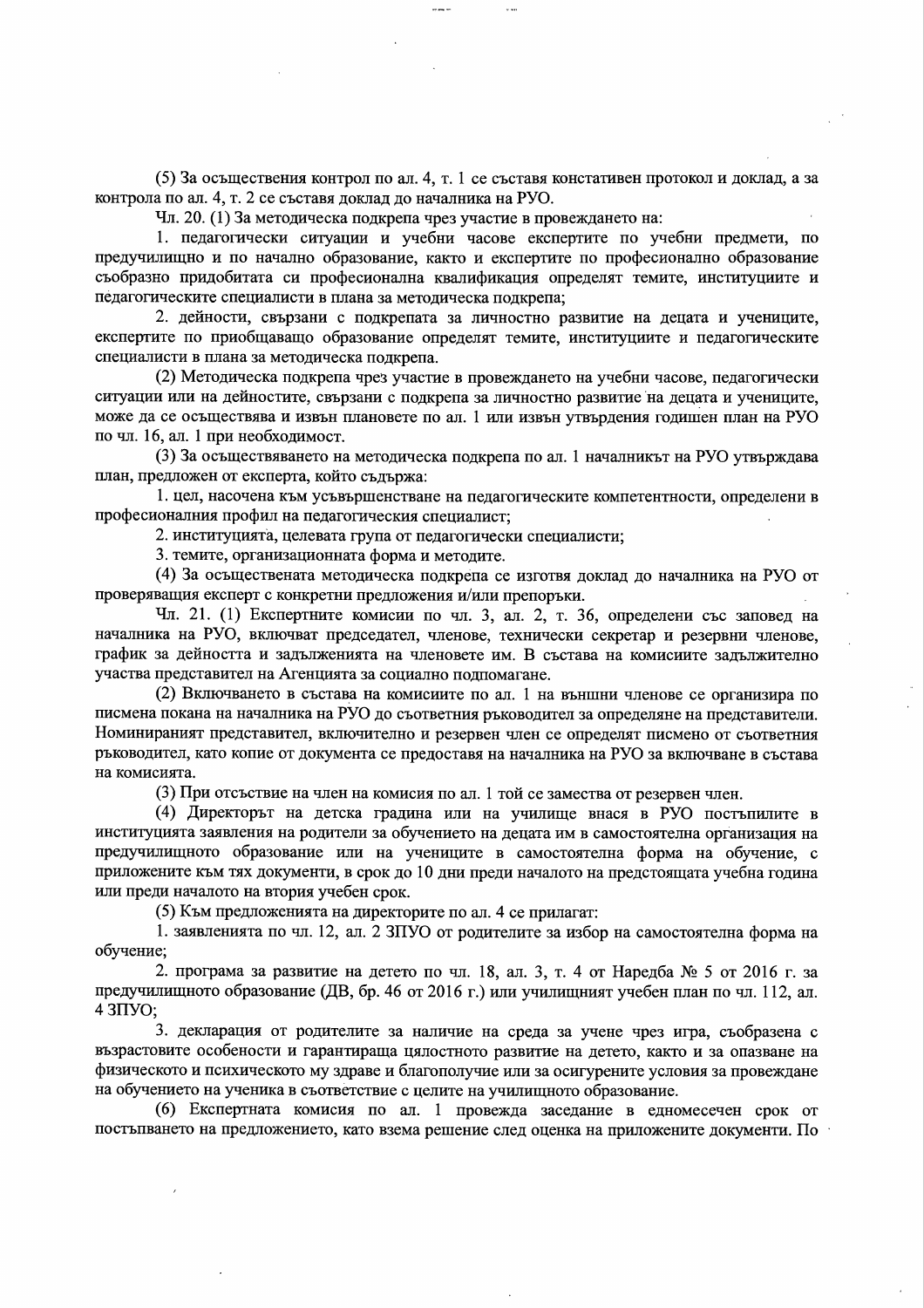(5) За осъществения контрол по ал. 4, т. 1 се съставя констативен протокол и доклад, а за контрола по ал. 4, т. 2 се съставя доклад до началника на РУО.

Чл. 20. (1) За методическа подкрепа чрез участие в провеждането на:

1. педагогически ситуации и учебни часове експертите по учебни предмети, по предучилищно и по начално образование, както и експертите по професионално образование съобразно придобитата си професионална квалификация определят темите, институциите и педагогическите специалисти в плана за методическа подкрепа;

2. дейности, свързани с подкрепата за личностно развитие на децата и учениците, експертите по приобщаващо образование определят темите, институциите и педагогическите специалисти в плана за методическа подкрепа.

(2) Методическа подкрепа чрез участие в провеждането на учебни часове, педагогически ситуации или на дейностите, свързани с подкрепа за личностно развитие на децата и учениците, може да се осъществява и извън плановете по ал. 1 или извън утвърдения годишен план на РУО по чл. 16, ал. 1 при необходимост.

(3) За осъществяването на методическа подкрепа по ал. 1 началникът на РУО утвърждава план, предложен от експерта, който съдържа:

1. цел, насочена към усъвършенстване на педагогическите компетентности, определени в професионалния профил на педагогическия специалист;

2. институцията, целевата група от педагогически специалисти:

3. темите, организационната форма и методите.

(4) За осъществената методическа подкрепа се изготвя доклад до началника на РУО от проверяващия експерт с конкретни предложения и/или препоръки.

Чл. 21. (1) Експертните комисии по чл. 3, ал. 2, т. 36, определени със заповед на началника на РУО, включват председател, членове, технически секретар и резервни членове, график за дейността и задълженията на членовете им. В състава на комисиите задължително участва представител на Агенцията за социално подпомагане.

(2) Включването в състава на комисиите по ал. 1 на външни членове се организира по писмена покана на началника на РУО до съответния ръководител за определяне на представители. Номинираният представител, включително и резервен член се определят писмено от съответния ръководител, като копие от документа се предоставя на началника на РУО за включване в състава на комисията.

(3) При отсъствие на член на комисия по ал. 1 той се замества от резервен член.

(4) Директорът на детска градина или на училище внася в РУО постъпилите в институцията заявления на родители за обучението на децата им в самостоятелна организация на предучилищното образование или на учениците в самостоятелна форма на обучение, с приложените към тях документи, в срок до 10 дни преди началото на предстоящата учебна година или преди началото на втория учебен срок.

(5) Към предложенията на директорите по ал. 4 се прилагат:

1. заявленията по чл. 12, ал. 2 ЗПУО от родителите за избор на самостоятелна форма на обучение;

2. програма за развитие на детето по чл. 18, ал. 3, т. 4 от Наредба № 5 от 2016 г. за предучилищното образование (ДВ, бр. 46 от 2016 г.) или училищният учебен план по чл. 112, ал.  $43\Pi$ VO;

3. декларация от родителите за наличие на среда за учене чрез игра, съобразена с възрастовите особености и гарантираща цялостното развитие на детето, както и за опазване на физическото и психическото му здраве и благополучие или за осигурените условия за провеждане на обучението на ученика в съответствие с целите на училищното образование.

(6) Експертната комисия по ал. 1 провежда заседание в едномесечен срок от постъпването на предложението, като взема решение след оценка на приложените документи. По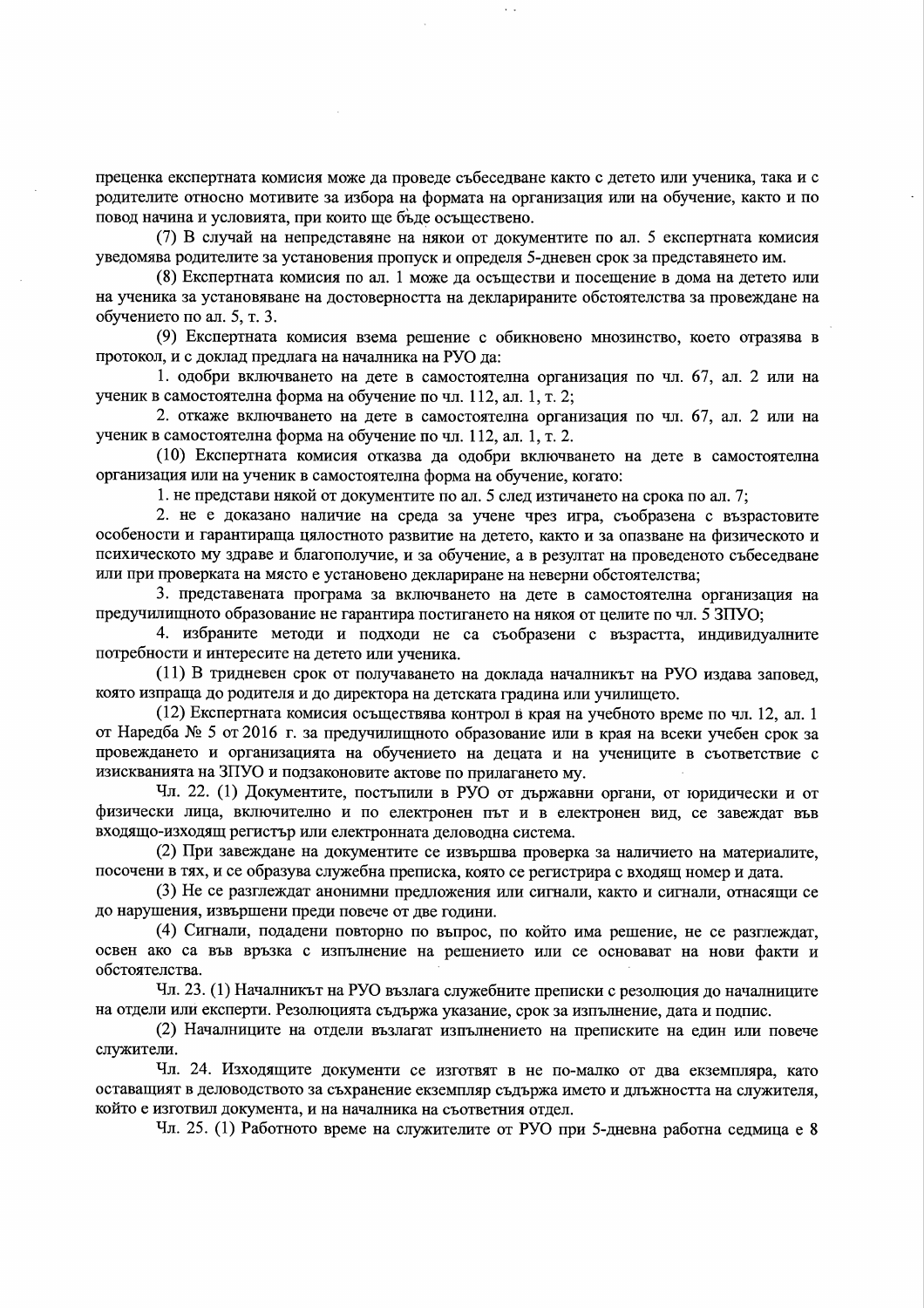преценка експертната комисия може да проведе събеседване както с детето или ученика, така и с родителите относно мотивите за избора на формата на организация или на обучение, както и по повод начина и условията, при които ще бъде осъществено.

(7) В случай на непредставяне на някои от документите по ал. 5 експертната комисия уведомява родителите за установения пропуск и определя 5-дневен срок за представянето им.

(8) Експертната комисия по ал. 1 може да осъществи и посещение в дома на детето или на ученика за установяване на достоверността на декларираните обстоятелства за провеждане на обучението по ал. 5, т. 3.

(9) Експертната комисия взема решение с обикновено мнозинство, което отразява в протокол, и с доклад предлага на началника на РУО да:

1. одобри включването на дете в самостоятелна организация по чл. 67, ал. 2 или на ученик в самостоятелна форма на обучение по чл. 112, ал. 1, т. 2;

2. откаже включването на дете в самостоятелна организация по чл. 67, ал. 2 или на ученик в самостоятелна форма на обучение по чл. 112, ал. 1, т. 2.

(10) Експертната комисия отказва да одобри включването на дете в самостоятелна организация или на ученик в самостоятелна форма на обучение, когато:

1. не представи някой от документите по ал. 5 след изтичането на срока по ал. 7;

2. не е доказано наличие на среда за учене чрез игра, съобразена с възрастовите особености и гарантираща цялостното развитие на детето, както и за опазване на физическото и психическото му здраве и благополучие, и за обучение, а в резултат на проведеното събеседване или при проверката на място е установено деклариране на неверни обстоятелства;

3. представената програма за включването на дете в самостоятелна организация на предучилищното образование не гарантира постигането на някоя от целите по чл. 5 ЗПУО;

4. избраните методи и подходи не са съобразени с възрастта, индивидуалните потребности и интересите на детето или ученика.

(11) В тридневен срок от получаването на доклада началникът на РУО издава заповед, която изпраща до родителя и до директора на детската градина или училището.

(12) Експертната комисия осъществява контрол в края на учебното време по чл. 12, ал. 1 от Наредба № 5 от 2016 г. за предучилищното образование или в края на всеки учебен срок за провеждането и организацията на обучението на децата и на учениците в съответствие с изискванията на ЗПУО и подзаконовите актове по прилагането му.

Чл. 22. (1) Документите, постыпили в РУО от държавни органи, от юридически и от физически лица, включително и по електронен път и в електронен вид, се завеждат във входящо-изходящ регистър или електронната деловодна система.

(2) При завеждане на документите се извършва проверка за наличието на материалите, посочени в тях, и се образува служебна преписка, която се регистрира с входящ номер и дата.

(3) Не се разглеждат анонимни предложения или сигнали, както и сигнали, отнасящи се до нарушения, извършени преди повече от две години.

(4) Сигнали, подадени повторно по въпрос, по който има решение, не се разглеждат, освен ако са във връзка с изпълнение на решението или се основават на нови факти и обстоятелства.

Чл. 23. (1) Началникът на РУО възлага служебните преписки с резолюция до началниците на отдели или експерти. Резолюцията съдържа указание, срок за изпълнение, дата и подпис.

(2) Началниците на отдели възлагат изпълнението на преписките на един или повече служители.

Чл. 24. Изходящите документи се изготвят в не по-малко от два екземпляра, като оставащият в деловодството за съхранение екземпляр съдържа името и длъжността на служителя, който е изготвил документа, и на началника на съответния отдел.

Чл. 25. (1) Работното време на служителите от РУО при 5-дневна работна седмица е 8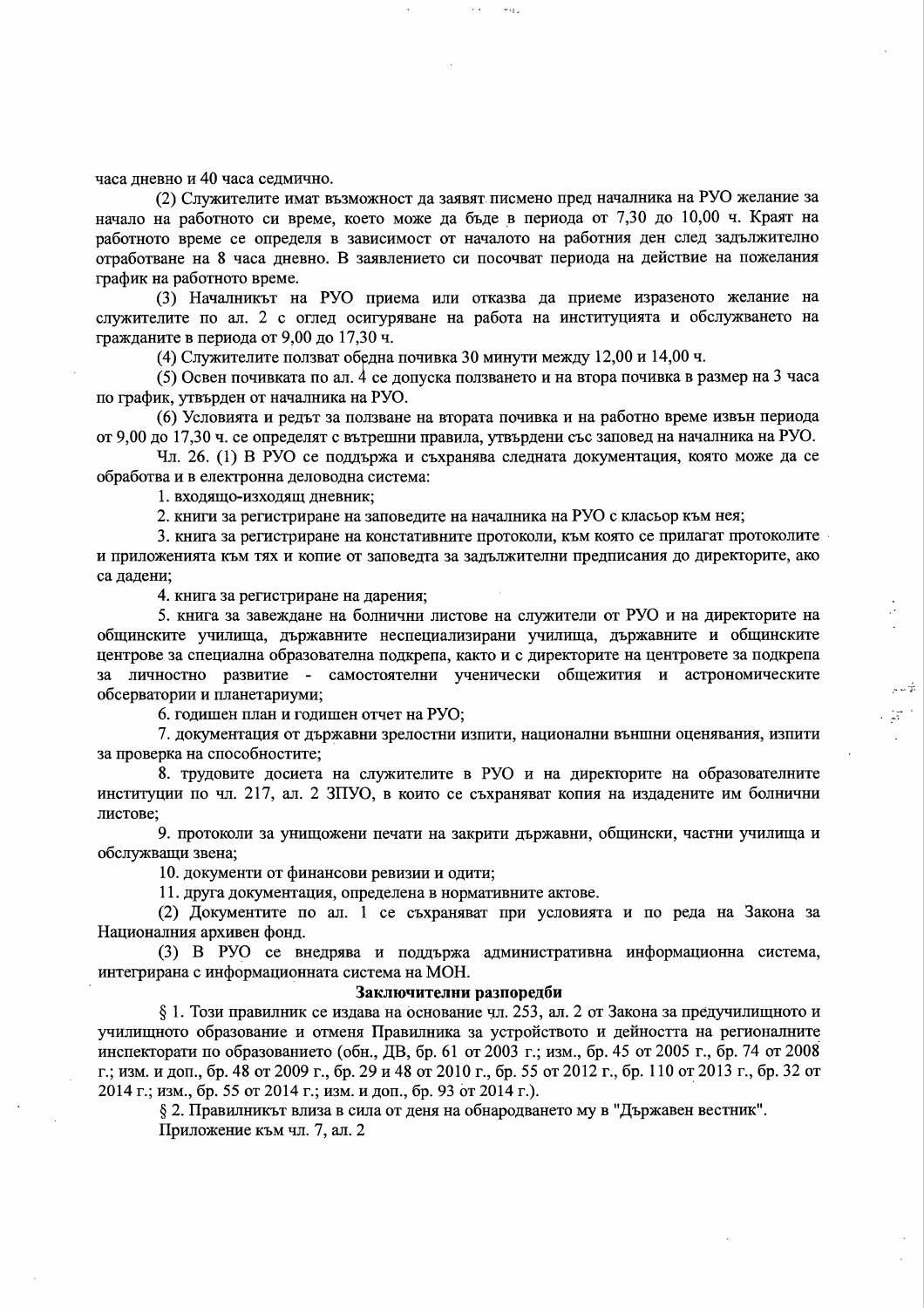часа дневно и 40 часа седмично.

(2) Служителите имат възможност да заявят писмено пред началника на РУО желание за начало на работното си време, което може да бъде в периода от 7,30 до 10,00 ч. Краят на работното време се определя в зависимост от началото на работния ден след задължително отработване на 8 часа дневно. В заявлението си посочват периода на действие на пожелания график на работното време.

 $m_{12}$ 

(3) Началникът на РУО приема или отказва да приеме изразеното желание на служителите по ал. 2 с оглед осигуряване на работа на институцията и обслужването на гражданите в периода от 9,00 до 17,30 ч.

(4) Служителите ползват обедна почивка 30 минути между 12,00 и 14,00 ч.

(5) Освен почивката по ал. 4 се допуска ползването и на втора почивка в размер на 3 часа по график, утвърден от началника на РУО.

(6) Условията и редът за ползване на втората почивка и на работно време извън периода от 9,00 до 17,30 ч. се определят с вътрешни правила, утвърдени със заповед на началника на РУО.

Чл. 26. (1) В РУО се поддържа и съхранява следната документация, която може да се обработва и в електронна деловодна система:

1. входящо-изходящ дневник;

2. книги за регистриране на заповедите на началника на РУО с класьор към нея;

3. книга за регистриране на констативните протоколи, към която се прилагат протоколите и приложенията към тях и копие от заповедта за задължителни предписания до директорите, ако са дадени:

4. книга за регистриране на дарения;

5. книга за завеждане на болнични листове на служители от РУО и на директорите на общинските училища, държавните неспециализирани училища, държавните и общинските центрове за специална образователна подкрепа, както и с директорите на центровете за подкрепа за личностно развитие - самостоятелни ученически общежития и астрономическите обсерватории и планетариуми;

6. годишен план и годишен отчет на РУО;

7. документация от държавни зрелостни изпити, национални външни оценявания, изпити за проверка на способностите;

8. трудовите досиета на служителите в РУО и на директорите на образователните институции по чл. 217, ал. 2 ЗПУО, в които се съхраняват копия на издадените им болнични листове;

9. протоколи за унищожени печати на закрити държавни, общински, частни училища и обслужващи звена;

10. документи от финансови ревизии и одити;

11. друга документация, определена в нормативните актове.

(2) Документите по ал. 1 се съхраняват при условията и по реда на Закона за Националния архивен фонд.

(3) В РУО се внедрява и поддържа административна информационна система, интегрирана с информационната система на МОН.

#### Заключителни разпоредби

§ 1. Този правилник се издава на основание чл. 253, ал. 2 от Закона за предучилищното и училищното образование и отменя Правилника за устройството и дейността на регионалните инспекторати по образованието (обн., ДВ, бр. 61 от 2003 г.; изм., бр. 45 от 2005 г., бр. 74 от 2008 г.; изм. и доп., бр. 48 от 2009 г., бр. 29 и 48 от 2010 г., бр. 55 от 2012 г., бр. 110 от 2013 г., бр. 32 от 2014 г.; изм., бр. 55 от 2014 г.; изм. и доп., бр. 93 от 2014 г.).

§ 2. Правилникът влиза в сила от деня на обнародването му в "Държавен вестник".

Приложение към чл. 7, ал. 2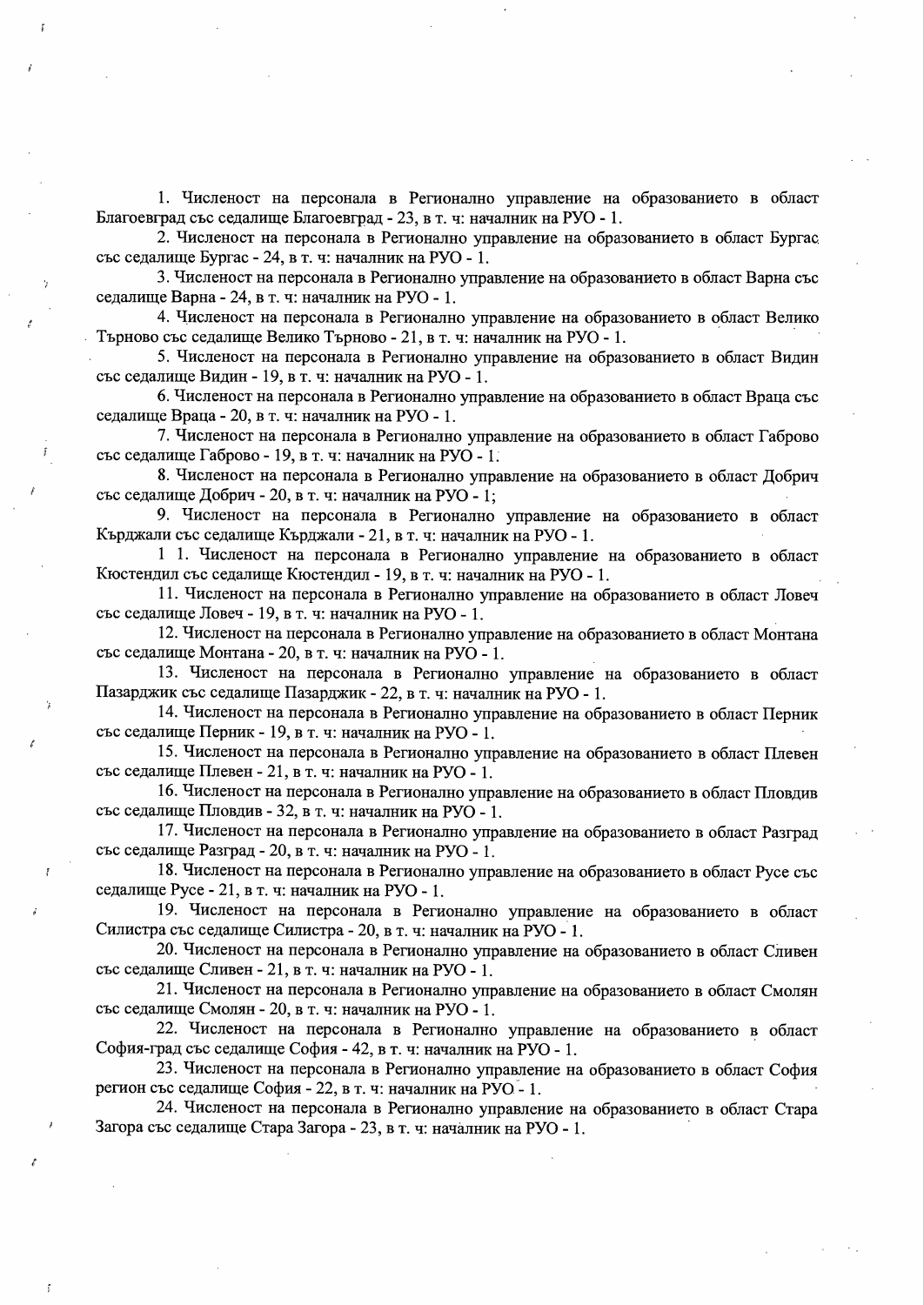1. Численост на персонала в Регионално управление на образованието в област Благоевград със седалище Благоевград - 23, в т. ч: началник на РУО - 1.

2. Численост на персонала в Регионално управление на образованието в област Бургас със седалище Бургас - 24, в т. ч: началник на РУО - 1.

3. Численост на персонала в Регионално управление на образованието в област Варна със седалище Варна - 24, в т. ч: началник на РУО - 1.

4. Численост на персонала в Регионално управление на образованието в област Велико Търново със седалище Велико Търново - 21, в т. ч. началник на РУО - 1.

5. Численост на персонала в Регионално управление на образованието в област Видин със седалище Видин - 19, в т. ч: началник на РУО - 1.

6. Численост на персонала в Регионално управление на образованието в област Враца със седалище Враца - 20, в т. ч: началник на РУО - 1.

7. Численост на персонала в Регионално управление на образованието в област Габрово със седалище Габрово - 19, в т. ч: началник на РУО - 1.

8. Численост на персонала в Регионално управление на образованието в област Добрич със седалище Добрич - 20, в т. ч: началник на РУО - 1;

9. Численост на персонала в Регионално управление на образованието в област Кърджали със седалище Кърджали - 21, в т. ч: началник на РУО - 1.

1 1. Численост на персонала в Регионално управление на образованието в област Кюстендил със седалище Кюстендил - 19, в т. ч: началник на РУО - 1.

11. Численост на персонала в Регионално управление на образованието в област Ловеч със седалище Ловеч - 19, в т. ч: началник на РУО - 1.

12. Численост на персонала в Регионално управление на образованието в област Монтана със седалище Монтана - 20, в т. ч: началник на РУО - 1.

13. Численост на персонала в Регионално управление на образованието в област Пазарджик със седалище Пазарджик - 22, в т. ч: началник на РУО - 1.

14. Численост на персонала в Регионално управление на образованието в област Перник със седалище Перник - 19, в т. ч: началник на РУО - 1.

15. Численост на персонала в Регионално управление на образованието в област Плевен със седалище Плевен - 21, в т. ч: началник на РУО - 1.

16. Численост на персонала в Регионално управление на образованието в област Пловдив със седалище Пловдив - 32, в т. ч: началник на РУО - 1.

17. Численост на персонала в Регионално управление на образованието в област Разград със седалище Разград - 20, в т. ч: началник на РУО - 1.

18. Численост на персонала в Регионално управление на образованието в област Русе със седалище Русе - 21, в т. ч: началник на РУО - 1.

19. Численост на персонала в Регионално управление на образованието в област Силистра със седалище Силистра - 20, в т. ч: началник на РУО - 1.

20. Численост на персонала в Регионално управление на образованието в област Сливен със седалище Сливен - 21, в т. ч: началник на РУО - 1.

21. Численост на персонала в Регионално управление на образованието в област Смолян със седалище Смолян - 20, в т. ч: началник на РУО - 1.

22. Численост на персонала в Регионално управление на образованието в област София-град със седалище София - 42, в т. ч: началник на РУО - 1.

23. Численост на персонала в Регионално управление на образованието в област София регион със седалище София - 22, в т. ч: началник на РУО - 1.

24. Численост на персонала в Регионално управление на образованието в област Стара Загора със седалище Стара Загора - 23, в т. ч: началник на РУО - 1.